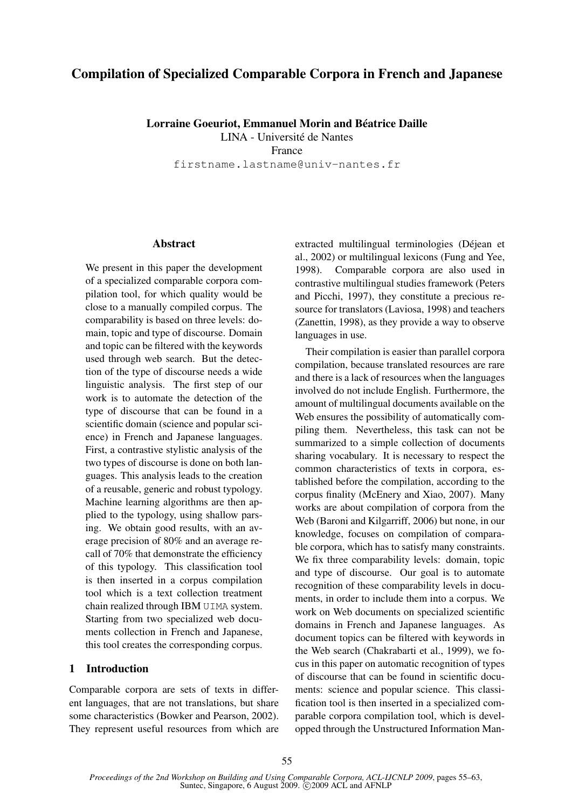# Compilation of Specialized Comparable Corpora in French and Japanese

Lorraine Goeuriot, Emmanuel Morin and Béatrice Daille LINA - Université de Nantes

France

firstname.lastname@univ-nantes.fr

#### **Abstract**

We present in this paper the development of a specialized comparable corpora compilation tool, for which quality would be close to a manually compiled corpus. The comparability is based on three levels: domain, topic and type of discourse. Domain and topic can be filtered with the keywords used through web search. But the detection of the type of discourse needs a wide linguistic analysis. The first step of our work is to automate the detection of the type of discourse that can be found in a scientific domain (science and popular science) in French and Japanese languages. First, a contrastive stylistic analysis of the two types of discourse is done on both languages. This analysis leads to the creation of a reusable, generic and robust typology. Machine learning algorithms are then applied to the typology, using shallow parsing. We obtain good results, with an average precision of 80% and an average recall of 70% that demonstrate the efficiency of this typology. This classification tool is then inserted in a corpus compilation tool which is a text collection treatment chain realized through IBM UIMA system. Starting from two specialized web documents collection in French and Japanese, this tool creates the corresponding corpus.

### 1 Introduction

Comparable corpora are sets of texts in different languages, that are not translations, but share some characteristics (Bowker and Pearson, 2002). They represent useful resources from which are extracted multilingual terminologies (Déjean et al., 2002) or multilingual lexicons (Fung and Yee, 1998). Comparable corpora are also used in contrastive multilingual studies framework (Peters and Picchi, 1997), they constitute a precious resource for translators (Laviosa, 1998) and teachers (Zanettin, 1998), as they provide a way to observe languages in use.

Their compilation is easier than parallel corpora compilation, because translated resources are rare and there is a lack of resources when the languages involved do not include English. Furthermore, the amount of multilingual documents available on the Web ensures the possibility of automatically compiling them. Nevertheless, this task can not be summarized to a simple collection of documents sharing vocabulary. It is necessary to respect the common characteristics of texts in corpora, established before the compilation, according to the corpus finality (McEnery and Xiao, 2007). Many works are about compilation of corpora from the Web (Baroni and Kilgarriff, 2006) but none, in our knowledge, focuses on compilation of comparable corpora, which has to satisfy many constraints. We fix three comparability levels: domain, topic and type of discourse. Our goal is to automate recognition of these comparability levels in documents, in order to include them into a corpus. We work on Web documents on specialized scientific domains in French and Japanese languages. As document topics can be filtered with keywords in the Web search (Chakrabarti et al., 1999), we focus in this paper on automatic recognition of types of discourse that can be found in scientific documents: science and popular science. This classification tool is then inserted in a specialized comparable corpora compilation tool, which is developped through the Unstructured Information Man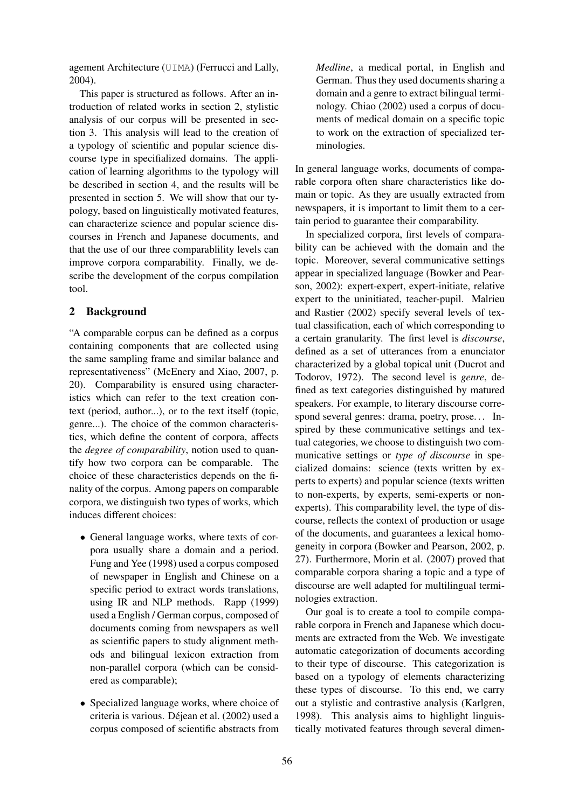agement Architecture (UIMA) (Ferrucci and Lally, 2004).

This paper is structured as follows. After an introduction of related works in section 2, stylistic analysis of our corpus will be presented in section 3. This analysis will lead to the creation of a typology of scientific and popular science discourse type in specifialized domains. The application of learning algorithms to the typology will be described in section 4, and the results will be presented in section 5. We will show that our typology, based on linguistically motivated features, can characterize science and popular science discourses in French and Japanese documents, and that the use of our three comparablility levels can improve corpora comparability. Finally, we describe the development of the corpus compilation tool.

### 2 Background

"A comparable corpus can be defined as a corpus containing components that are collected using the same sampling frame and similar balance and representativeness" (McEnery and Xiao, 2007, p. 20). Comparability is ensured using characteristics which can refer to the text creation context (period, author...), or to the text itself (topic, genre...). The choice of the common characteristics, which define the content of corpora, affects the *degree of comparability*, notion used to quantify how two corpora can be comparable. The choice of these characteristics depends on the finality of the corpus. Among papers on comparable corpora, we distinguish two types of works, which induces different choices:

- General language works, where texts of corpora usually share a domain and a period. Fung and Yee (1998) used a corpus composed of newspaper in English and Chinese on a specific period to extract words translations, using IR and NLP methods. Rapp (1999) used a English / German corpus, composed of documents coming from newspapers as well as scientific papers to study alignment methods and bilingual lexicon extraction from non-parallel corpora (which can be considered as comparable);
- Specialized language works, where choice of criteria is various. Déjean et al. (2002) used a corpus composed of scientific abstracts from

*Medline*, a medical portal, in English and German. Thus they used documents sharing a domain and a genre to extract bilingual terminology. Chiao (2002) used a corpus of documents of medical domain on a specific topic to work on the extraction of specialized terminologies.

In general language works, documents of comparable corpora often share characteristics like domain or topic. As they are usually extracted from newspapers, it is important to limit them to a certain period to guarantee their comparability.

In specialized corpora, first levels of comparability can be achieved with the domain and the topic. Moreover, several communicative settings appear in specialized language (Bowker and Pearson, 2002): expert-expert, expert-initiate, relative expert to the uninitiated, teacher-pupil. Malrieu and Rastier (2002) specify several levels of textual classification, each of which corresponding to a certain granularity. The first level is *discourse*, defined as a set of utterances from a enunciator characterized by a global topical unit (Ducrot and Todorov, 1972). The second level is *genre*, defined as text categories distinguished by matured speakers. For example, to literary discourse correspond several genres: drama, poetry, prose. . . Inspired by these communicative settings and textual categories, we choose to distinguish two communicative settings or *type of discourse* in specialized domains: science (texts written by experts to experts) and popular science (texts written to non-experts, by experts, semi-experts or nonexperts). This comparability level, the type of discourse, reflects the context of production or usage of the documents, and guarantees a lexical homogeneity in corpora (Bowker and Pearson, 2002, p. 27). Furthermore, Morin et al. (2007) proved that comparable corpora sharing a topic and a type of discourse are well adapted for multilingual terminologies extraction.

Our goal is to create a tool to compile comparable corpora in French and Japanese which documents are extracted from the Web. We investigate automatic categorization of documents according to their type of discourse. This categorization is based on a typology of elements characterizing these types of discourse. To this end, we carry out a stylistic and contrastive analysis (Karlgren, 1998). This analysis aims to highlight linguistically motivated features through several dimen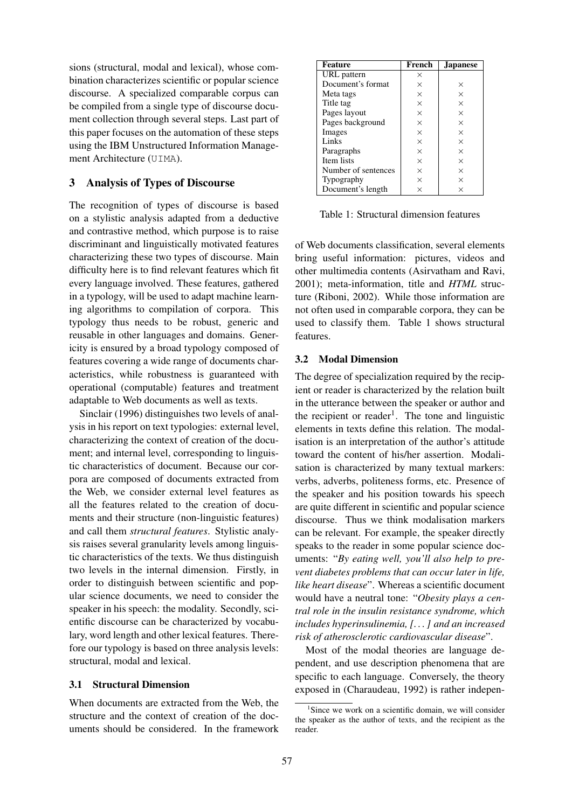sions (structural, modal and lexical), whose combination characterizes scientific or popular science discourse. A specialized comparable corpus can be compiled from a single type of discourse document collection through several steps. Last part of this paper focuses on the automation of these steps using the IBM Unstructured Information Management Architecture (UIMA).

# 3 Analysis of Types of Discourse

The recognition of types of discourse is based on a stylistic analysis adapted from a deductive and contrastive method, which purpose is to raise discriminant and linguistically motivated features characterizing these two types of discourse. Main difficulty here is to find relevant features which fit every language involved. These features, gathered in a typology, will be used to adapt machine learning algorithms to compilation of corpora. This typology thus needs to be robust, generic and reusable in other languages and domains. Genericity is ensured by a broad typology composed of features covering a wide range of documents characteristics, while robustness is guaranteed with operational (computable) features and treatment adaptable to Web documents as well as texts.

Sinclair (1996) distinguishes two levels of analysis in his report on text typologies: external level, characterizing the context of creation of the document; and internal level, corresponding to linguistic characteristics of document. Because our corpora are composed of documents extracted from the Web, we consider external level features as all the features related to the creation of documents and their structure (non-linguistic features) and call them *structural features*. Stylistic analysis raises several granularity levels among linguistic characteristics of the texts. We thus distinguish two levels in the internal dimension. Firstly, in order to distinguish between scientific and popular science documents, we need to consider the speaker in his speech: the modality. Secondly, scientific discourse can be characterized by vocabulary, word length and other lexical features. Therefore our typology is based on three analysis levels: structural, modal and lexical.

#### 3.1 Structural Dimension

When documents are extracted from the Web, the structure and the context of creation of the documents should be considered. In the framework

| Feature             | French | <b>Japanese</b> |  |
|---------------------|--------|-----------------|--|
| URL pattern         | ×      |                 |  |
| Document's format   | X      | $\times$        |  |
| Meta tags           | X      | $\times$        |  |
| Title tag           | X      | $\times$        |  |
| Pages layout        | X      | X               |  |
| Pages background    | X      | $\times$        |  |
| Images              | X      | $\times$        |  |
| Links               | X      | X               |  |
| Paragraphs          | X      | $\times$        |  |
| Item lists          | X      | $\times$        |  |
| Number of sentences | X      | X               |  |
| Typography          | X      | $\times$        |  |
| Document's length   | ×      | X               |  |

Table 1: Structural dimension features

of Web documents classification, several elements bring useful information: pictures, videos and other multimedia contents (Asirvatham and Ravi, 2001); meta-information, title and *HTML* structure (Riboni, 2002). While those information are not often used in comparable corpora, they can be used to classify them. Table 1 shows structural features.

### 3.2 Modal Dimension

The degree of specialization required by the recipient or reader is characterized by the relation built in the utterance between the speaker or author and the recipient or reader<sup>1</sup>. The tone and linguistic elements in texts define this relation. The modalisation is an interpretation of the author's attitude toward the content of his/her assertion. Modalisation is characterized by many textual markers: verbs, adverbs, politeness forms, etc. Presence of the speaker and his position towards his speech are quite different in scientific and popular science discourse. Thus we think modalisation markers can be relevant. For example, the speaker directly speaks to the reader in some popular science documents: "*By eating well, you'll also help to prevent diabetes problems that can occur later in life, like heart disease*". Whereas a scientific document would have a neutral tone: "*Obesity plays a central role in the insulin resistance syndrome, which includes hyperinsulinemia, [. . . ] and an increased risk of atherosclerotic cardiovascular disease*".

Most of the modal theories are language dependent, and use description phenomena that are specific to each language. Conversely, the theory exposed in (Charaudeau, 1992) is rather indepen-

<sup>&</sup>lt;sup>1</sup>Since we work on a scientific domain, we will consider the speaker as the author of texts, and the recipient as the reader.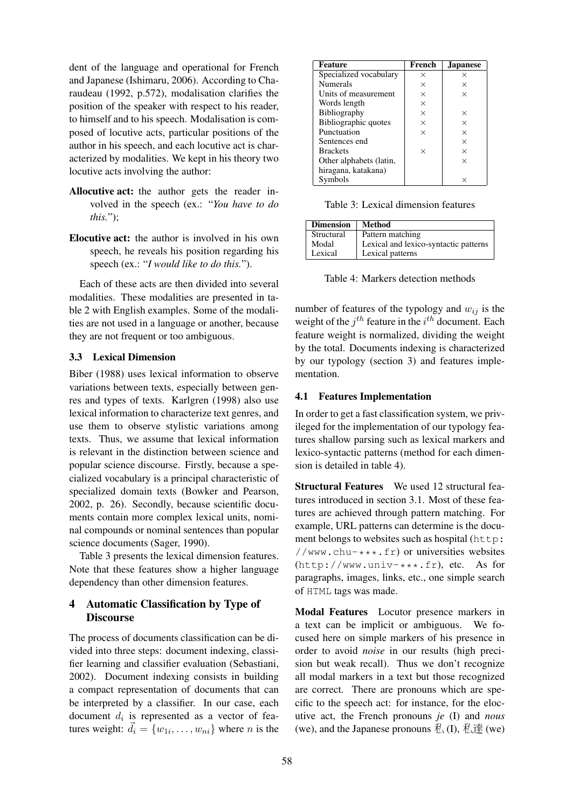dent of the language and operational for French and Japanese (Ishimaru, 2006). According to Charaudeau (1992, p.572), modalisation clarifies the position of the speaker with respect to his reader, to himself and to his speech. Modalisation is composed of locutive acts, particular positions of the author in his speech, and each locutive act is characterized by modalities. We kept in his theory two locutive acts involving the author:

- Allocutive act: the author gets the reader involved in the speech (ex.: "*You have to do this.*");
- Elocutive act: the author is involved in his own speech, he reveals his position regarding his speech (ex.: "*I would like to do this.*").

Each of these acts are then divided into several modalities. These modalities are presented in table 2 with English examples. Some of the modalities are not used in a language or another, because they are not frequent or too ambiguous.

### 3.3 Lexical Dimension

Biber (1988) uses lexical information to observe variations between texts, especially between genres and types of texts. Karlgren (1998) also use lexical information to characterize text genres, and use them to observe stylistic variations among texts. Thus, we assume that lexical information is relevant in the distinction between science and popular science discourse. Firstly, because a specialized vocabulary is a principal characteristic of specialized domain texts (Bowker and Pearson, 2002, p. 26). Secondly, because scientific documents contain more complex lexical units, nominal compounds or nominal sentences than popular science documents (Sager, 1990).

Table 3 presents the lexical dimension features. Note that these features show a higher language dependency than other dimension features.

# 4 Automatic Classification by Type of **Discourse**

The process of documents classification can be divided into three steps: document indexing, classifier learning and classifier evaluation (Sebastiani, 2002). Document indexing consists in building a compact representation of documents that can be interpreted by a classifier. In our case, each document  $d_i$  is represented as a vector of features weight:  $\vec{d}_i = \{w_{1i}, \dots, w_{ni}\}$  where *n* is the

| <b>Feature</b>          | French   | <b>Japanese</b> |
|-------------------------|----------|-----------------|
| Specialized vocabulary  | X        | ×               |
| <b>Numerals</b>         | X        | X               |
| Units of measurement    | X        | $\times$        |
| Words length            | X        |                 |
| Bibliography            | X        | $\times$        |
| Bibliographic quotes    | X        | $\times$        |
| Punctuation             | $\times$ | $\times$        |
| Sentences end           |          | $\times$        |
| <b>Brackets</b>         | $\times$ | $\times$        |
| Other alphabets (latin, |          | $\times$        |
| hiragana, katakana)     |          |                 |
| Symbols                 |          | $\times$        |

Table 3: Lexical dimension features

| <b>Dimension</b> | Method                                |
|------------------|---------------------------------------|
| Structural       | Pattern matching                      |
| Modal            | Lexical and lexico-syntactic patterns |
| Lexical          | Lexical patterns                      |

Table 4: Markers detection methods

number of features of the typology and  $w_{ij}$  is the weight of the  $j<sup>th</sup>$  feature in the  $i<sup>th</sup>$  document. Each feature weight is normalized, dividing the weight by the total. Documents indexing is characterized by our typology (section 3) and features implementation.

# 4.1 Features Implementation

In order to get a fast classification system, we privileged for the implementation of our typology features shallow parsing such as lexical markers and lexico-syntactic patterns (method for each dimension is detailed in table 4).

Structural Features We used 12 structural features introduced in section 3.1. Most of these features are achieved through pattern matching. For example, URL patterns can determine is the document belongs to websites such as hospital (http: //www.chu- $***$ .fr) or universities websites (http://www.univ-\*\*\*.fr), etc. As for paragraphs, images, links, etc., one simple search of HTML tags was made.

Modal Features Locutor presence markers in a text can be implicit or ambiguous. We focused here on simple markers of his presence in order to avoid *noise* in our results (high precision but weak recall). Thus we don't recognize all modal markers in a text but those recognized are correct. There are pronouns which are specific to the speech act: for instance, for the elocutive act, the French pronouns *je* (I) and *nous* (we), and the Japanese pronouns  $\bar{\mathcal{H}}$ , (I),  $\bar{\mathcal{H}}$  (we)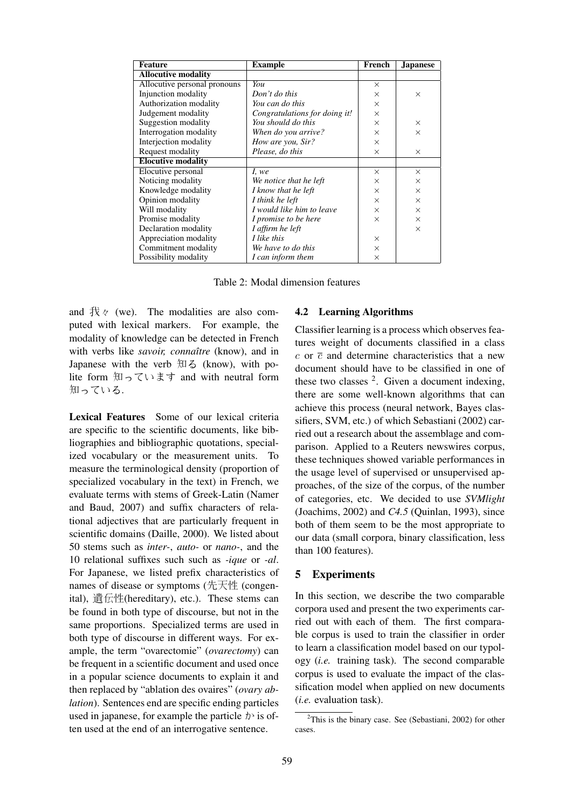| <b>Feature</b>               | <b>Example</b>                | French   | <b>Japanese</b> |
|------------------------------|-------------------------------|----------|-----------------|
| <b>Allocutive modality</b>   |                               |          |                 |
| Allocutive personal pronouns | You                           | $\times$ |                 |
| Injunction modality          | Don't do this                 | $\times$ | $\times$        |
| Authorization modality       | You can do this               | $\times$ |                 |
| Judgement modality           | Congratulations for doing it! | $\times$ |                 |
| Suggestion modality          | You should do this            | $\times$ | $\times$        |
| Interrogation modality       | When do you arrive?           | $\times$ | $\times$        |
| Interjection modality        | How are you, Sir?             | $\times$ |                 |
| Request modality             | Please, do this               | X        | $\times$        |
| <b>Elocutive modality</b>    |                               |          |                 |
| Elocutive personal           | I, we                         | $\times$ | $\times$        |
| Noticing modality            | We notice that he left        | $\times$ | $\times$        |
| Knowledge modality           | I know that he left           | X        | $\times$        |
| Opinion modality             | I think he left               | $\times$ | $\times$        |
| Will modality                | I would like him to leave     | $\times$ | $\times$        |
| Promise modality             | I promise to be here          | $\times$ | $\times$        |
| Declaration modality         | I affirm he left              |          | $\times$        |
| Appreciation modality        | I like this                   | X        |                 |
| Commitment modality          | We have to do this            | $\times$ |                 |
| Possibility modality         | I can inform them             | $\times$ |                 |

Table 2: Modal dimension features

and  $\forall x \in \mathbb{R}$  (we). The modalities are also computed with lexical markers. For example, the modality of knowledge can be detected in French with verbs like *savoir, connaître* (know), and in Japanese with the verb 知る (know), with polite form 知っています and with neutral form 知っている.

Lexical Features Some of our lexical criteria are specific to the scientific documents, like bibliographies and bibliographic quotations, specialized vocabulary or the measurement units. To measure the terminological density (proportion of specialized vocabulary in the text) in French, we evaluate terms with stems of Greek-Latin (Namer and Baud, 2007) and suffix characters of relational adjectives that are particularly frequent in scientific domains (Daille, 2000). We listed about 50 stems such as *inter-*, *auto-* or *nano-*, and the 10 relational suffixes such such as *-ique* or *-al*. For Japanese, we listed prefix characteristics of names of disease or symptoms (先天性 (congenital), 遺伝性(hereditary), etc.). These stems can be found in both type of discourse, but not in the same proportions. Specialized terms are used in both type of discourse in different ways. For example, the term "ovarectomie" (*ovarectomy*) can be frequent in a scientific document and used once in a popular science documents to explain it and then replaced by "ablation des ovaires" (*ovary ablation*). Sentences end are specific ending particles used in japanese, for example the particle  $\psi$  is often used at the end of an interrogative sentence.

#### 4.2 Learning Algorithms

Classifier learning is a process which observes features weight of documents classified in a class  $c$  or  $\bar{c}$  and determine characteristics that a new document should have to be classified in one of these two classes  $2$ . Given a document indexing, there are some well-known algorithms that can achieve this process (neural network, Bayes classifiers, SVM, etc.) of which Sebastiani (2002) carried out a research about the assemblage and comparison. Applied to a Reuters newswires corpus, these techniques showed variable performances in the usage level of supervised or unsupervised approaches, of the size of the corpus, of the number of categories, etc. We decided to use *SVMlight* (Joachims, 2002) and *C4.5* (Quinlan, 1993), since both of them seem to be the most appropriate to our data (small corpora, binary classification, less than 100 features).

#### 5 Experiments

In this section, we describe the two comparable corpora used and present the two experiments carried out with each of them. The first comparable corpus is used to train the classifier in order to learn a classification model based on our typology (*i.e.* training task). The second comparable corpus is used to evaluate the impact of the classification model when applied on new documents (*i.e.* evaluation task).

 $2$ This is the binary case. See (Sebastiani, 2002) for other cases.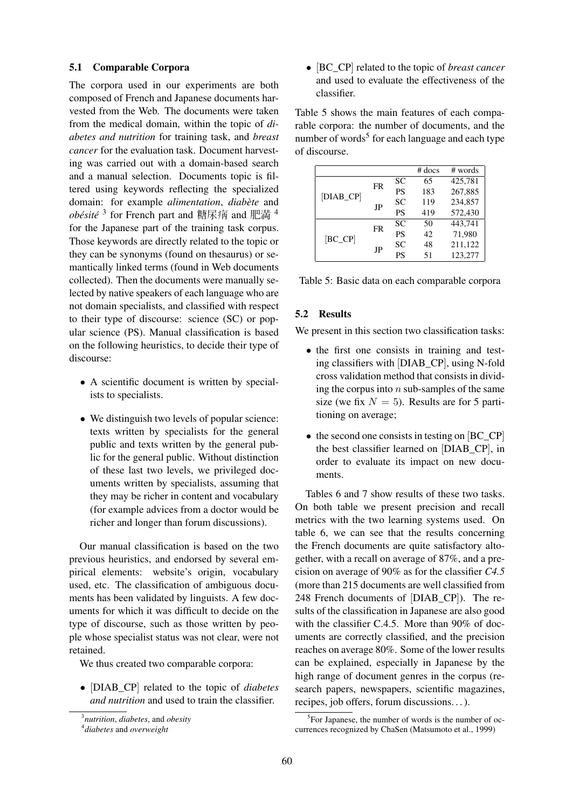#### 5.1 Comparable Corpora

The corpora used in our experiments are both composed of French and Japanese documents harvested from the Web. The documents were taken from the medical domain, within the topic of *diabetes and nutrition* for training task, and *breast cancer* for the evaluation task. Document harvesting was carried out with a domain-based search and a manual selection. Documents topic is filtered using keywords reflecting the specialized domain: for example *alimentation*, *diabète* and *obésité* <sup>3</sup> for French part and 糖尿病 and 肥満 <sup>4</sup> for the Japanese part of the training task corpus. Those keywords are directly related to the topic or they can be synonyms (found on thesaurus) or semantically linked terms (found in Web documents collected). Then the documents were manually selected by native speakers of each language who are not domain specialists, and classified with respect to their type of discourse: science (SC) or popular science (PS). Manual classification is based on the following heuristics, to decide their type of discourse:

- A scientific document is written by specialists to specialists.
- We distinguish two levels of popular science: texts written by specialists for the general public and texts written by the general public for the general public. Without distinction of these last two levels, we privileged documents written by specialists, assuming that they may be richer in content and vocabulary (for example advices from a doctor would be richer and longer than forum discussions).

Our manual classification is based on the two previous heuristics, and endorsed by several empirical elements: website's origin, vocabulary used, etc. The classification of ambiguous documents has been validated by linguists. A few documents for which it was difficult to decide on the type of discourse, such as those written by people whose specialist status was not clear, were not retained.

We thus created two comparable corpora:

• [DIAB\_CP] related to the topic of *diabetes and nutrition* and used to train the classifier.

• [BC\_CP] related to the topic of *breast cancer* and used to evaluate the effectiveness of the classifier.

Table 5 shows the main features of each comparable corpora: the number of documents, and the number of words<sup>5</sup> for each language and each type of discourse.

|           |    |           | $#$ docs | # words |
|-----------|----|-----------|----------|---------|
|           | FR | SC        | 65       | 425,781 |
| [DIAB_CP] |    | <b>PS</b> | 183      | 267,885 |
|           | JP | SC        | 119      | 234,857 |
|           |    | <b>PS</b> | 419      | 572,430 |
|           | FR | SC        | 50       | 443,741 |
| $[BC_C]$  |    | <b>PS</b> | 42       | 71,980  |
|           | JP | SC        | 48       | 211,122 |
|           |    | PS        | 51       | 123,277 |
|           |    |           |          |         |

Table 5: Basic data on each comparable corpora

# 5.2 Results

We present in this section two classification tasks:

- the first one consists in training and testing classifiers with [DIAB\_CP], using N-fold cross validation method that consists in dividing the corpus into  $n$  sub-samples of the same size (we fix  $N = 5$ ). Results are for 5 partitioning on average;
- the second one consists in testing on [BC\_CP] the best classifier learned on [DIAB\_CP], in order to evaluate its impact on new documents.

Tables 6 and 7 show results of these two tasks. On both table we present precision and recall metrics with the two learning systems used. On table 6, we can see that the results concerning the French documents are quite satisfactory altogether, with a recall on average of 87%, and a precision on average of 90% as for the classifier *C4.5* (more than 215 documents are well classified from 248 French documents of [DIAB\_CP]). The results of the classification in Japanese are also good with the classifier C.4.5. More than 90% of documents are correctly classified, and the precision reaches on average 80%. Some of the lower results can be explained, especially in Japanese by the high range of document genres in the corpus (research papers, newspapers, scientific magazines, recipes, job offers, forum discussions. . . ).

<sup>3</sup> *nutrition*, *diabetes*, and *obesity*

<sup>4</sup> *diabetes* and *overweight*

<sup>&</sup>lt;sup>5</sup>For Japanese, the number of words is the number of occurrences recognized by ChaSen (Matsumoto et al., 1999)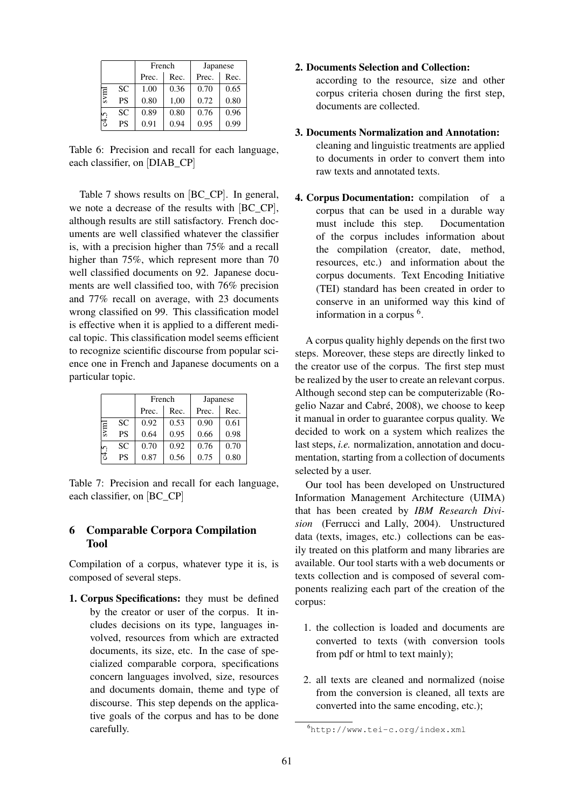|      |           | French |      | Japanese |      |
|------|-----------|--------|------|----------|------|
|      |           | Prec.  | Rec. | Prec.    | Rec. |
| svml | SC        | 1.00   | 0.36 | 0.70     | 0.65 |
|      | <b>PS</b> | 0.80   | 1,00 | 0.72     | 0.80 |
|      | SC        | 0.89   | 0.80 | 0.76     | 0.96 |
| 2    | <b>PS</b> | 0.91   | 0.94 | 0.95     | 0.99 |

Table 6: Precision and recall for each language, each classifier, on [DIAB\_CP]

Table 7 shows results on [BC\_CP]. In general, we note a decrease of the results with [BC\_CP], although results are still satisfactory. French documents are well classified whatever the classifier is, with a precision higher than 75% and a recall higher than 75%, which represent more than 70 well classified documents on 92. Japanese documents are well classified too, with 76% precision and 77% recall on average, with 23 documents wrong classified on 99. This classification model is effective when it is applied to a different medical topic. This classification model seems efficient to recognize scientific discourse from popular science one in French and Japanese documents on a particular topic.

|      |           | French |      | Japanese |      |
|------|-----------|--------|------|----------|------|
|      |           | Prec.  | Rec. | Prec.    | Rec. |
|      | SC        | 0.92   | 0.53 | 0.90     | 0.61 |
| svml | <b>PS</b> | 0.64   | 0.95 | 0.66     | 0.98 |
|      | SC        | 0.70   | 0.92 | 0.76     | 0.70 |
|      | <b>PS</b> | 0.87   | 0.56 | 0.75     | 0.80 |

Table 7: Precision and recall for each language, each classifier, on [BC\_CP]

# 6 Comparable Corpora Compilation Tool

Compilation of a corpus, whatever type it is, is composed of several steps.

1. Corpus Specifications: they must be defined by the creator or user of the corpus. It includes decisions on its type, languages involved, resources from which are extracted documents, its size, etc. In the case of specialized comparable corpora, specifications concern languages involved, size, resources and documents domain, theme and type of discourse. This step depends on the applicative goals of the corpus and has to be done carefully.

#### 2. Documents Selection and Collection:

according to the resource, size and other corpus criteria chosen during the first step, documents are collected.

# 3. Documents Normalization and Annotation: cleaning and linguistic treatments are applied

- to documents in order to convert them into raw texts and annotated texts.
- 4. Corpus Documentation: compilation of a corpus that can be used in a durable way must include this step. Documentation of the corpus includes information about the compilation (creator, date, method, resources, etc.) and information about the corpus documents. Text Encoding Initiative (TEI) standard has been created in order to conserve in an uniformed way this kind of information in a corpus <sup>6</sup>.

A corpus quality highly depends on the first two steps. Moreover, these steps are directly linked to the creator use of the corpus. The first step must be realized by the user to create an relevant corpus. Although second step can be computerizable (Rogelio Nazar and Cabré, 2008), we choose to keep it manual in order to guarantee corpus quality. We decided to work on a system which realizes the last steps, *i.e.* normalization, annotation and documentation, starting from a collection of documents selected by a user.

Our tool has been developed on Unstructured Information Management Architecture (UIMA) that has been created by *IBM Research Division* (Ferrucci and Lally, 2004). Unstructured data (texts, images, etc.) collections can be easily treated on this platform and many libraries are available. Our tool starts with a web documents or texts collection and is composed of several components realizing each part of the creation of the corpus:

- 1. the collection is loaded and documents are converted to texts (with conversion tools from pdf or html to text mainly);
- 2. all texts are cleaned and normalized (noise from the conversion is cleaned, all texts are converted into the same encoding, etc.);

<sup>6</sup>http://www.tei-c.org/index.xml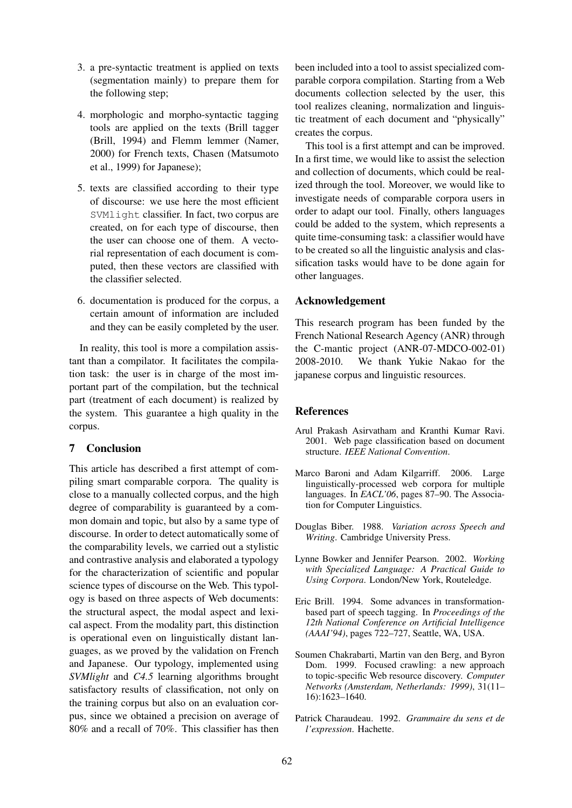- 3. a pre-syntactic treatment is applied on texts (segmentation mainly) to prepare them for the following step;
- 4. morphologic and morpho-syntactic tagging tools are applied on the texts (Brill tagger (Brill, 1994) and Flemm lemmer (Namer, 2000) for French texts, Chasen (Matsumoto et al., 1999) for Japanese);
- 5. texts are classified according to their type of discourse: we use here the most efficient SVMlight classifier. In fact, two corpus are created, on for each type of discourse, then the user can choose one of them. A vectorial representation of each document is computed, then these vectors are classified with the classifier selected.
- 6. documentation is produced for the corpus, a certain amount of information are included and they can be easily completed by the user.

In reality, this tool is more a compilation assistant than a compilator. It facilitates the compilation task: the user is in charge of the most important part of the compilation, but the technical part (treatment of each document) is realized by the system. This guarantee a high quality in the corpus.

# 7 Conclusion

This article has described a first attempt of compiling smart comparable corpora. The quality is close to a manually collected corpus, and the high degree of comparability is guaranteed by a common domain and topic, but also by a same type of discourse. In order to detect automatically some of the comparability levels, we carried out a stylistic and contrastive analysis and elaborated a typology for the characterization of scientific and popular science types of discourse on the Web. This typology is based on three aspects of Web documents: the structural aspect, the modal aspect and lexical aspect. From the modality part, this distinction is operational even on linguistically distant languages, as we proved by the validation on French and Japanese. Our typology, implemented using *SVMlight* and *C4.5* learning algorithms brought satisfactory results of classification, not only on the training corpus but also on an evaluation corpus, since we obtained a precision on average of 80% and a recall of 70%. This classifier has then been included into a tool to assist specialized comparable corpora compilation. Starting from a Web documents collection selected by the user, this tool realizes cleaning, normalization and linguistic treatment of each document and "physically" creates the corpus.

This tool is a first attempt and can be improved. In a first time, we would like to assist the selection and collection of documents, which could be realized through the tool. Moreover, we would like to investigate needs of comparable corpora users in order to adapt our tool. Finally, others languages could be added to the system, which represents a quite time-consuming task: a classifier would have to be created so all the linguistic analysis and classification tasks would have to be done again for other languages.

# Acknowledgement

This research program has been funded by the French National Research Agency (ANR) through the C-mantic project (ANR-07-MDCO-002-01) 2008-2010. We thank Yukie Nakao for the japanese corpus and linguistic resources.

# References

- Arul Prakash Asirvatham and Kranthi Kumar Ravi. 2001. Web page classification based on document structure. *IEEE National Convention*.
- Marco Baroni and Adam Kilgarriff. 2006. Large linguistically-processed web corpora for multiple languages. In *EACL'06*, pages 87–90. The Association for Computer Linguistics.
- Douglas Biber. 1988. *Variation across Speech and Writing*. Cambridge University Press.
- Lynne Bowker and Jennifer Pearson. 2002. *Working with Specialized Language: A Practical Guide to Using Corpora*. London/New York, Routeledge.
- Eric Brill. 1994. Some advances in transformationbased part of speech tagging. In *Proceedings of the 12th National Conference on Artificial Intelligence (AAAI'94)*, pages 722–727, Seattle, WA, USA.
- Soumen Chakrabarti, Martin van den Berg, and Byron Dom. 1999. Focused crawling: a new approach to topic-specific Web resource discovery. *Computer Networks (Amsterdam, Netherlands: 1999)*, 31(11– 16):1623–1640.
- Patrick Charaudeau. 1992. *Grammaire du sens et de l'expression*. Hachette.